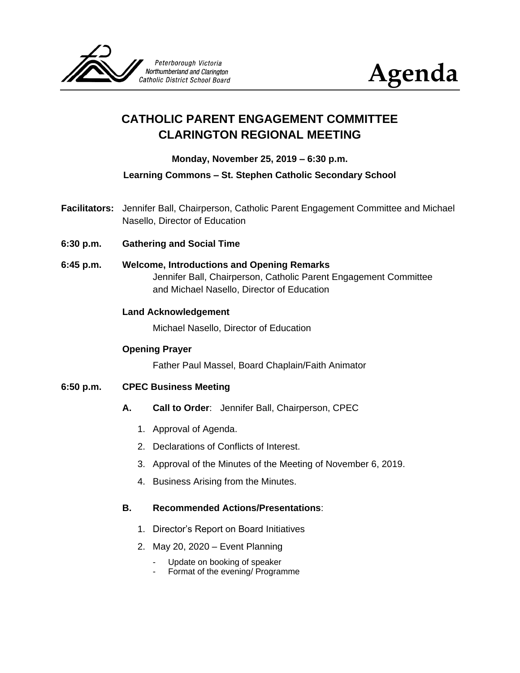



# **CATHOLIC PARENT ENGAGEMENT COMMITTEE CLARINGTON REGIONAL MEETING**

## **Monday, November 25, 2019 – 6:30 p.m.**

**Learning Commons – St. Stephen Catholic Secondary School**

- **Facilitators:** Jennifer Ball, Chairperson, Catholic Parent Engagement Committee and Michael Nasello, Director of Education
- **6:30 p.m. Gathering and Social Time**
- **6:45 p.m. Welcome, Introductions and Opening Remarks** Jennifer Ball, Chairperson, Catholic Parent Engagement Committee and Michael Nasello, Director of Education

#### **Land Acknowledgement**

Michael Nasello, Director of Education

#### **Opening Prayer**

Father Paul Massel, Board Chaplain/Faith Animator

#### **6:50 p.m. CPEC Business Meeting**

- **A. Call to Order**: Jennifer Ball, Chairperson, CPEC
	- 1. Approval of Agenda.
	- 2. Declarations of Conflicts of Interest.
	- 3. Approval of the Minutes of the Meeting of November 6, 2019.
	- 4. Business Arising from the Minutes.

#### **B. Recommended Actions/Presentations**:

- 1. Director's Report on Board Initiatives
- 2. May 20, 2020 Event Planning
	- Update on booking of speaker
	- Format of the evening/ Programme